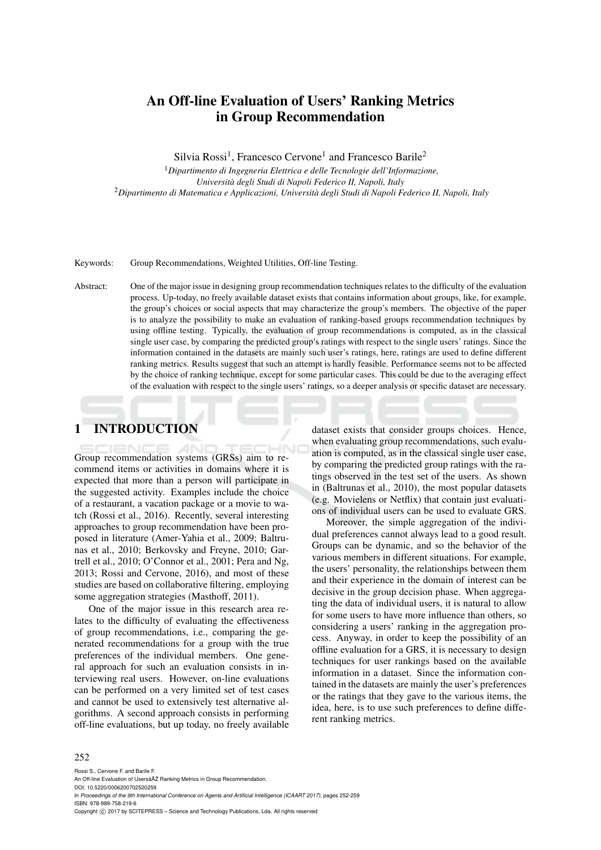# An Off-line Evaluation of Users' Ranking Metrics in Group Recommendation

Silvia Rossi<sup>1</sup>, Francesco Cervone<sup>1</sup> and Francesco Barile<sup>2</sup>

<sup>1</sup>*Dipartimento di Ingegneria Elettrica e delle Tecnologie dell'Informazione, Universita degli Studi di Napoli Federico II, Napoli, Italy `* <sup>2</sup>*Dipartimento di Matematica e Applicazioni, Universita degli Studi di Napoli Federico II, Napoli, Italy `*

Keywords: Group Recommendations, Weighted Utilities, Off-line Testing.

Abstract: One of the major issue in designing group recommendation techniques relates to the difficulty of the evaluation process. Up-today, no freely available dataset exists that contains information about groups, like, for example, the group's choices or social aspects that may characterize the group's members. The objective of the paper is to analyze the possibility to make an evaluation of ranking-based groups recommendation techniques by using offline testing. Typically, the evaluation of group recommendations is computed, as in the classical single user case, by comparing the predicted group's ratings with respect to the single users' ratings. Since the information contained in the datasets are mainly such user's ratings, here, ratings are used to define different ranking metrics. Results suggest that such an attempt is hardly feasible. Performance seems not to be affected by the choice of ranking technique, except for some particular cases. This could be due to the averaging effect of the evaluation with respect to the single users' ratings, so a deeper analysis or specific dataset are necessary.

## 1 INTRODUCTION

Group recommendation systems (GRSs) aim to recommend items or activities in domains where it is expected that more than a person will participate in the suggested activity. Examples include the choice of a restaurant, a vacation package or a movie to watch (Rossi et al., 2016). Recently, several interesting approaches to group recommendation have been proposed in literature (Amer-Yahia et al., 2009; Baltrunas et al., 2010; Berkovsky and Freyne, 2010; Gartrell et al., 2010; O'Connor et al., 2001; Pera and Ng, 2013; Rossi and Cervone, 2016), and most of these studies are based on collaborative filtering, employing some aggregation strategies (Masthoff, 2011).

One of the major issue in this research area relates to the difficulty of evaluating the effectiveness of group recommendations, i.e., comparing the generated recommendations for a group with the true preferences of the individual members. One general approach for such an evaluation consists in interviewing real users. However, on-line evaluations can be performed on a very limited set of test cases and cannot be used to extensively test alternative algorithms. A second approach consists in performing off-line evaluations, but up today, no freely available

dataset exists that consider groups choices. Hence, when evaluating group recommendations, such evaluation is computed, as in the classical single user case, by comparing the predicted group ratings with the ratings observed in the test set of the users. As shown in (Baltrunas et al., 2010), the most popular datasets (e.g. Movielens or Netflix) that contain just evaluations of individual users can be used to evaluate GRS.

Moreover, the simple aggregation of the individual preferences cannot always lead to a good result. Groups can be dynamic, and so the behavior of the various members in different situations. For example, the users' personality, the relationships between them and their experience in the domain of interest can be decisive in the group decision phase. When aggregating the data of individual users, it is natural to allow for some users to have more influence than others, so considering a users' ranking in the aggregation process. Anyway, in order to keep the possibility of an offline evaluation for a GRS, it is necessary to design techniques for user rankings based on the available information in a dataset. Since the information contained in the datasets are mainly the user's preferences or the ratings that they gave to the various items, the idea, here, is to use such preferences to define different ranking metrics.

#### 252

Rossi S., Cervone F. and Barile F. An Off-line Evaluation of Usersâ $\tilde{A}\tilde{Z}$  Ranking Metrics in Group Recommendation. DOI: 10.5220/0006200702520259 In *Proceedings of the 9th International Conference on Agents and Artificial Intelligence (ICAART 2017)*, pages 252-259 ISBN: 978-989-758-219-6 Copyright (C) 2017 by SCITEPRESS - Science and Technology Publications, Lda. All rights reserved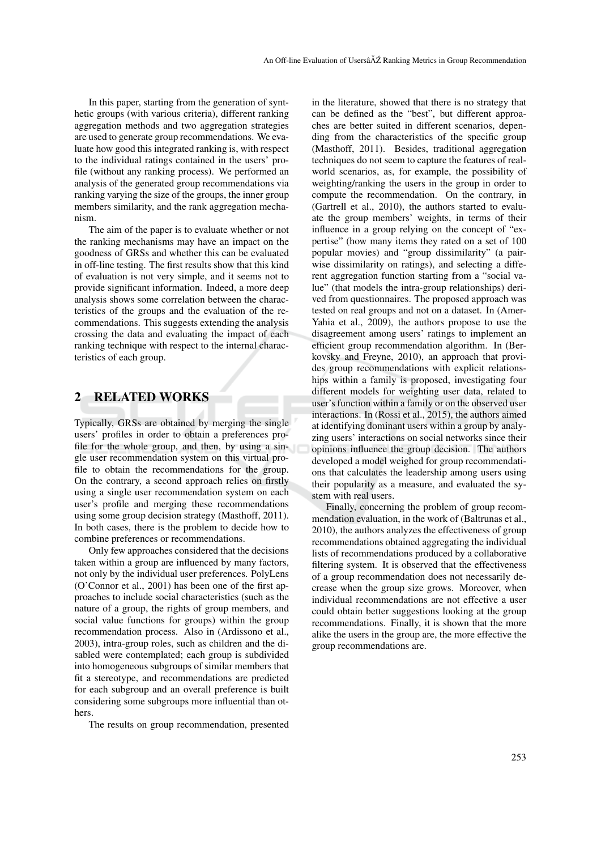In this paper, starting from the generation of synthetic groups (with various criteria), different ranking aggregation methods and two aggregation strategies are used to generate group recommendations. We evaluate how good this integrated ranking is, with respect to the individual ratings contained in the users' profile (without any ranking process). We performed an analysis of the generated group recommendations via ranking varying the size of the groups, the inner group members similarity, and the rank aggregation mechanism.

The aim of the paper is to evaluate whether or not the ranking mechanisms may have an impact on the goodness of GRSs and whether this can be evaluated in off-line testing. The first results show that this kind of evaluation is not very simple, and it seems not to provide significant information. Indeed, a more deep analysis shows some correlation between the characteristics of the groups and the evaluation of the recommendations. This suggests extending the analysis crossing the data and evaluating the impact of each ranking technique with respect to the internal characteristics of each group.

## 2 RELATED WORKS

Typically, GRSs are obtained by merging the single users' profiles in order to obtain a preferences profile for the whole group, and then, by using a single user recommendation system on this virtual profile to obtain the recommendations for the group. On the contrary, a second approach relies on firstly using a single user recommendation system on each user's profile and merging these recommendations using some group decision strategy (Masthoff, 2011). In both cases, there is the problem to decide how to combine preferences or recommendations.

Only few approaches considered that the decisions taken within a group are influenced by many factors, not only by the individual user preferences. PolyLens (O'Connor et al., 2001) has been one of the first approaches to include social characteristics (such as the nature of a group, the rights of group members, and social value functions for groups) within the group recommendation process. Also in (Ardissono et al., 2003), intra-group roles, such as children and the disabled were contemplated; each group is subdivided into homogeneous subgroups of similar members that fit a stereotype, and recommendations are predicted for each subgroup and an overall preference is built considering some subgroups more influential than others.

The results on group recommendation, presented

in the literature, showed that there is no strategy that can be defined as the "best", but different approaches are better suited in different scenarios, depending from the characteristics of the specific group (Masthoff, 2011). Besides, traditional aggregation techniques do not seem to capture the features of realworld scenarios, as, for example, the possibility of weighting/ranking the users in the group in order to compute the recommendation. On the contrary, in (Gartrell et al., 2010), the authors started to evaluate the group members' weights, in terms of their influence in a group relying on the concept of "expertise" (how many items they rated on a set of 100 popular movies) and "group dissimilarity" (a pairwise dissimilarity on ratings), and selecting a different aggregation function starting from a "social value" (that models the intra-group relationships) derived from questionnaires. The proposed approach was tested on real groups and not on a dataset. In (Amer-Yahia et al., 2009), the authors propose to use the disagreement among users' ratings to implement an efficient group recommendation algorithm. In (Berkovsky and Freyne, 2010), an approach that provides group recommendations with explicit relationships within a family is proposed, investigating four different models for weighting user data, related to user's function within a family or on the observed user interactions. In (Rossi et al., 2015), the authors aimed at identifying dominant users within a group by analyzing users' interactions on social networks since their opinions influence the group decision. The authors developed a model weighed for group recommendations that calculates the leadership among users using their popularity as a measure, and evaluated the system with real users.

Finally, concerning the problem of group recommendation evaluation, in the work of (Baltrunas et al., 2010), the authors analyzes the effectiveness of group recommendations obtained aggregating the individual lists of recommendations produced by a collaborative filtering system. It is observed that the effectiveness of a group recommendation does not necessarily decrease when the group size grows. Moreover, when individual recommendations are not effective a user could obtain better suggestions looking at the group recommendations. Finally, it is shown that the more alike the users in the group are, the more effective the group recommendations are.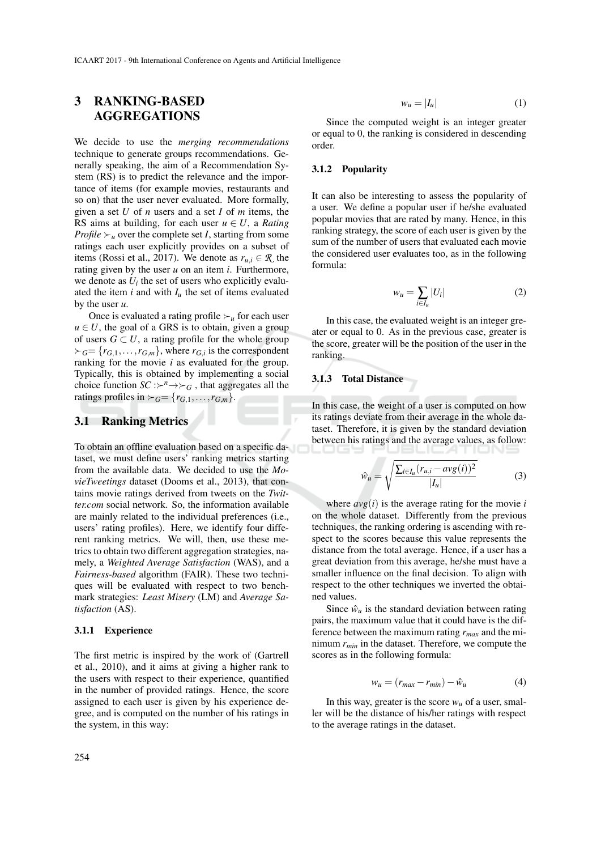## 3 RANKING-BASED AGGREGATIONS

We decide to use the *merging recommendations* technique to generate groups recommendations. Generally speaking, the aim of a Recommendation System (RS) is to predict the relevance and the importance of items (for example movies, restaurants and so on) that the user never evaluated. More formally, given a set *U* of *n* users and a set *I* of *m* items, the RS aims at building, for each user  $u \in U$ , a *Rating Profile*  $\succ_u$  over the complete set *I*, starting from some ratings each user explicitly provides on a subset of items (Rossi et al., 2017). We denote as  $r_{u,i} \in \mathcal{R}$  the rating given by the user *u* on an item *i*. Furthermore, we denote as  $U_i$  the set of users who explicitly evaluated the item  $i$  and with  $I_u$  the set of items evaluated by the user *u*.

Once is evaluated a rating profile  $\succ_u$  for each user  $u \in U$ , the goal of a GRS is to obtain, given a group of users  $G \subset U$ , a rating profile for the whole group  $\succ_G = \{r_{G,1}, \ldots, r_{G,m}\}\$ , where  $r_{G,i}$  is the correspondent ranking for the movie *i* as evaluated for the group. Typically, this is obtained by implementing a social choice function  $SC : \rightarrow^n \rightarrow \rightarrow_G$ , that aggregates all the ratings profiles in  $\succ_G = \{r_{G,1}, \ldots, r_{G,m}\}.$ 

## 3.1 Ranking Metrics

To obtain an offline evaluation based on a specific dataset, we must define users' ranking metrics starting from the available data. We decided to use the *MovieTweetings* dataset (Dooms et al., 2013), that contains movie ratings derived from tweets on the *Twitter.com* social network. So, the information available are mainly related to the individual preferences (i.e., users' rating profiles). Here, we identify four different ranking metrics. We will, then, use these metrics to obtain two different aggregation strategies, namely, a *Weighted Average Satisfaction* (WAS), and a *Fairness-based* algorithm (FAIR). These two techniques will be evaluated with respect to two benchmark strategies: *Least Misery* (LM) and *Average Satisfaction* (AS).

#### 3.1.1 Experience

The first metric is inspired by the work of (Gartrell et al., 2010), and it aims at giving a higher rank to the users with respect to their experience, quantified in the number of provided ratings. Hence, the score assigned to each user is given by his experience degree, and is computed on the number of his ratings in the system, in this way:

Since the computed weight is an integer greater or equal to 0, the ranking is considered in descending order.

#### 3.1.2 Popularity

It can also be interesting to assess the popularity of a user. We define a popular user if he/she evaluated popular movies that are rated by many. Hence, in this ranking strategy, the score of each user is given by the sum of the number of users that evaluated each movie the considered user evaluates too, as in the following formula:

$$
w_u = \sum_{i \in I_u} |U_i| \tag{2}
$$

In this case, the evaluated weight is an integer greater or equal to 0. As in the previous case, greater is the score, greater will be the position of the user in the ranking.

#### 3.1.3 Total Distance

In this case, the weight of a user is computed on how its ratings deviate from their average in the whole dataset. Therefore, it is given by the standard deviation between his ratings and the average values, as follow:

$$
\hat{w}_u = \sqrt{\frac{\sum_{i \in I_u} (r_{u,i} - avg(i))^2}{|I_u|}} \tag{3}
$$

where  $avg(i)$  is the average rating for the movie *i* on the whole dataset. Differently from the previous techniques, the ranking ordering is ascending with respect to the scores because this value represents the distance from the total average. Hence, if a user has a great deviation from this average, he/she must have a smaller influence on the final decision. To align with respect to the other techniques we inverted the obtained values.

Since  $\hat{w}_u$  is the standard deviation between rating pairs, the maximum value that it could have is the difference between the maximum rating *rmax* and the minimum *rmin* in the dataset. Therefore, we compute the scores as in the following formula:

$$
w_u = (r_{max} - r_{min}) - \hat{w}_u \tag{4}
$$

In this way, greater is the score  $w_u$  of a user, smaller will be the distance of his/her ratings with respect to the average ratings in the dataset.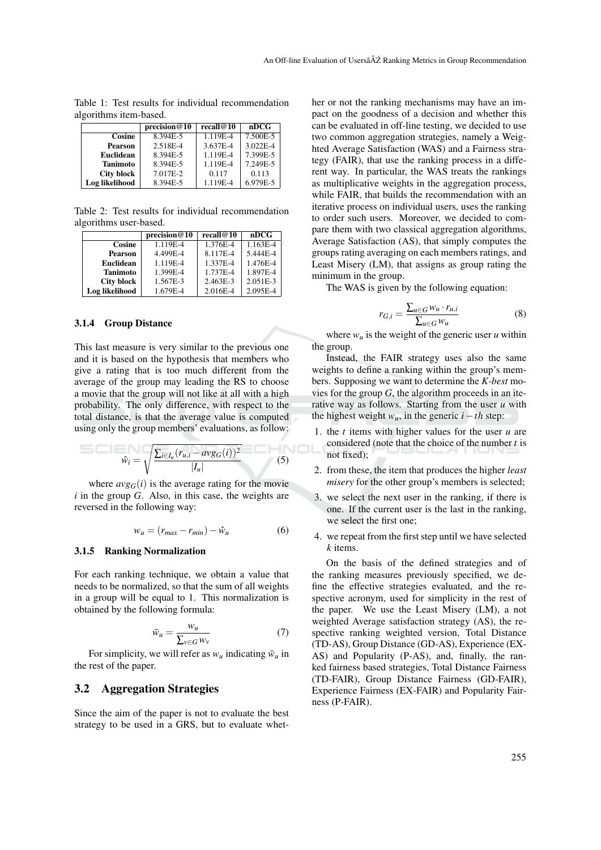|                   | precision@10 | recall $@10$ | nDCG     |
|-------------------|--------------|--------------|----------|
| Cosine            | 8.394E-5     | $1.119E - 4$ | 7.500E-5 |
| <b>Pearson</b>    | 2.518E-4     | 3.637E-4     | 3.022E-4 |
| <b>Euclidean</b>  | 8.394E-5     | 1.119E-4     | 7.399E-5 |
| <b>Tanimoto</b>   | 8.394E-5     | 1.119E-4     | 7.249E-5 |
| <b>City block</b> | 7.017E-2     | 0.117        | 0.113    |
| Log likelihood    | 8.394E-5     | 1.119E-4     | 6.979E-5 |

Table 1: Test results for individual recommendation algorithms item-based.

Table 2: Test results for individual recommendation algorithms user-based.

|                   | precision@10          | recall@10 | nDCG                  |
|-------------------|-----------------------|-----------|-----------------------|
| Cosine            | $1.\overline{119E-4}$ | 1.376E-4  | $1.\overline{163E-4}$ |
| <b>Pearson</b>    | 4.499E-4              | 8.117E-4  | 5.444E-4              |
| Euclidean         | 1.119E-4              | 1.337E-4  | 1.476E-4              |
| <b>Tanimoto</b>   | 1.399E-4              | 1.737E-4  | 1.897E-4              |
| <b>City block</b> | 1.567E-3              | 2.463E-3  | 2.051E-3              |
| Log likelihood    | 1.679E-4              | 2.016E-4  | 2.095E-4              |

#### 3.1.4 Group Distance

This last measure is very similar to the previous one and it is based on the hypothesis that members who give a rating that is too much different from the average of the group may leading the RS to choose a movie that the group will not like at all with a high probability. The only difference, with respect to the total distance, is that the average value is computed using only the group members' evaluations, as follow:

$$
\hat{w}_i = \sqrt{\frac{\sum_{i \in I_u} (r_{u,i} - avg_G(i))^2}{|I_u|}}
$$
(5)

where  $avg_G(i)$  is the average rating for the movie *i* in the group *G*. Also, in this case, the weights are reversed in the following way:

$$
w_u = (r_{max} - r_{min}) - \hat{w}_u \tag{6}
$$

#### 3.1.5 Ranking Normalization

For each ranking technique, we obtain a value that needs to be normalized, so that the sum of all weights in a group will be equal to 1. This normalization is obtained by the following formula:

$$
\bar{w}_u = \frac{w_u}{\sum_{v \in G} w_v} \tag{7}
$$

For simplicity, we will refer as  $w_u$  indicating  $\bar{w}_u$  in the rest of the paper.

### 3.2 Aggregation Strategies

Since the aim of the paper is not to evaluate the best strategy to be used in a GRS, but to evaluate whether or not the ranking mechanisms may have an impact on the goodness of a decision and whether this can be evaluated in off-line testing, we decided to use two common aggregation strategies, namely a Weighted Average Satisfaction (WAS) and a Fairness strategy (FAIR), that use the ranking process in a different way. In particular, the WAS treats the rankings as multiplicative weights in the aggregation process, while FAIR, that builds the recommendation with an iterative process on individual users, uses the ranking to order such users. Moreover, we decided to compare them with two classical aggregation algorithms, Average Satisfaction (AS), that simply computes the groups rating averaging on each members ratings, and Least Misery (LM), that assigns as group rating the minimum in the group.

The WAS is given by the following equation:

$$
r_{G,i} = \frac{\sum_{u \in G} w_u \cdot r_{u,i}}{\sum_{u \in G} w_u} \tag{8}
$$

where  $w_u$  is the weight of the generic user  $u$  within the group.

Instead, the FAIR strategy uses also the same weights to define a ranking within the group's members. Supposing we want to determine the *K-best* movies for the group *G*, the algorithm proceeds in an iterative way as follows. Starting from the user *u* with the highest weight  $w_u$ , in the generic  $i - th$  step:

- 1. the *t* items with higher values for the user *u* are considered (note that the choice of the number *t* is not fixed);
- 2. from these, the item that produces the higher *least misery* for the other group's members is selected;
- 3. we select the next user in the ranking, if there is one. If the current user is the last in the ranking, we select the first one;
- 4. we repeat from the first step until we have selected *k* items.

On the basis of the defined strategies and of the ranking measures previously specified, we define the effective strategies evaluated, and the respective acronym, used for simplicity in the rest of the paper. We use the Least Misery (LM), a not weighted Average satisfaction strategy (AS), the respective ranking weighted version, Total Distance (TD-AS), Group Distance (GD-AS), Experience (EX-AS) and Popularity (P-AS), and, finally, the ranked fairness based strategies, Total Distance Fairness (TD-FAIR), Group Distance Fairness (GD-FAIR), Experience Fairness (EX-FAIR) and Popularity Fairness (P-FAIR).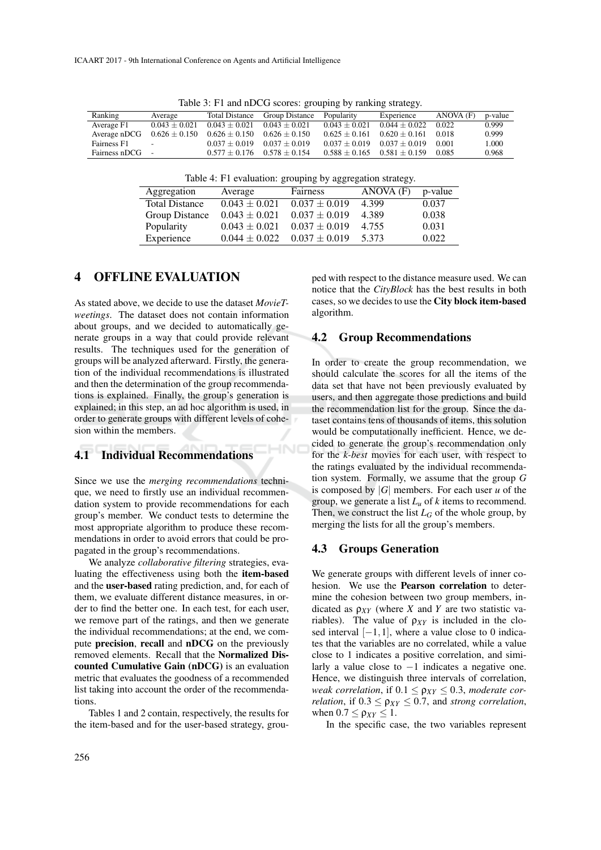| racio 3. I I and moves scores. grouping by ramaing strategy. |                          |                   |                       |                 |                                     |           |         |
|--------------------------------------------------------------|--------------------------|-------------------|-----------------------|-----------------|-------------------------------------|-----------|---------|
| Ranking                                                      | Average                  | Total Distance    | <b>Group Distance</b> | Popularity      | Experience                          | ANOVA (F) | p-value |
| Average F1                                                   | $0.043 \pm 0.021$        | $0.043 \pm 0.021$ | $0.043 + 0.021$       | $0.043 + 0.021$ | $0.044 \pm 0.022$                   | 0.022     | 0.999   |
| Average nDCG                                                 | $0.626\pm0.150$          | $0.626 \pm 0.150$ | $0.626 + 0.150$       | $0.625 + 0.161$ | $0.620 + 0.161$                     | 0.018     | 0.999   |
| Fairness F1                                                  | $\overline{\phantom{a}}$ | $0.037 + 0.019$   | $0.037 + 0.019$       | $0.037 + 0.019$ | $0.037 + 0.019$                     | 0.001     | 1.000   |
| Fairness nDCG                                                |                          | $0.577 + 0.176$   | $0.578 + 0.154$       |                 | $0.588 \pm 0.165$ $0.581 \pm 0.159$ | 0.085     | 0.968   |

Table 3: F1 and nDCG scores: grouping by ranking strategy.

Table 4: F1 evaluation: grouping by aggregation strategy.

| Aggregation           | Average           | Fairness          | ANOVA (F) | p-value |
|-----------------------|-------------------|-------------------|-----------|---------|
| <b>Total Distance</b> | $0.043 \pm 0.021$ | $0.037 \pm 0.019$ | 4.399     | 0.037   |
| Group Distance        | $0.043 \pm 0.021$ | $0.037 \pm 0.019$ | 4.389     | 0.038   |
| Popularity            | $0.043 \pm 0.021$ | $0.037 \pm 0.019$ | 4.755     | 0.031   |
| Experience            | $0.044 \pm 0.022$ | $0.037 \pm 0.019$ | 5.373     | 0.022   |

**IHNC** 

## 4 OFFLINE EVALUATION

As stated above, we decide to use the dataset *MovieTweetings*. The dataset does not contain information about groups, and we decided to automatically generate groups in a way that could provide relevant results. The techniques used for the generation of groups will be analyzed afterward. Firstly, the generation of the individual recommendations is illustrated and then the determination of the group recommendations is explained. Finally, the group's generation is explained; in this step, an ad hoc algorithm is used, in order to generate groups with different levels of cohesion within the members.

## 4.1 Individual Recommendations

Since we use the *merging recommendations* technique, we need to firstly use an individual recommendation system to provide recommendations for each group's member. We conduct tests to determine the most appropriate algorithm to produce these recommendations in order to avoid errors that could be propagated in the group's recommendations.

We analyze *collaborative filtering* strategies, evaluating the effectiveness using both the item-based and the user-based rating prediction, and, for each of them, we evaluate different distance measures, in order to find the better one. In each test, for each user, we remove part of the ratings, and then we generate the individual recommendations; at the end, we compute precision, recall and nDCG on the previously removed elements. Recall that the Normalized Discounted Cumulative Gain (nDCG) is an evaluation metric that evaluates the goodness of a recommended list taking into account the order of the recommendations.

Tables 1 and 2 contain, respectively, the results for the item-based and for the user-based strategy, grouped with respect to the distance measure used. We can notice that the *CityBlock* has the best results in both cases, so we decides to use the City block item-based algorithm.

#### 4.2 Group Recommendations

In order to create the group recommendation, we should calculate the scores for all the items of the data set that have not been previously evaluated by users, and then aggregate those predictions and build the recommendation list for the group. Since the dataset contains tens of thousands of items, this solution would be computationally inefficient. Hence, we decided to generate the group's recommendation only for the *k-best* movies for each user, with respect to the ratings evaluated by the individual recommendation system. Formally, we assume that the group *G* is composed by |*G*| members. For each user *u* of the group, we generate a list *L<sup>u</sup>* of *k* items to recommend. Then, we construct the list  $L_G$  of the whole group, by merging the lists for all the group's members.

#### 4.3 Groups Generation

We generate groups with different levels of inner cohesion. We use the Pearson correlation to determine the cohesion between two group members, indicated as  $\rho_{XY}$  (where *X* and *Y* are two statistic variables). The value of  $\rho_{XY}$  is included in the closed interval  $[-1,1]$ , where a value close to 0 indicates that the variables are no correlated, while a value close to 1 indicates a positive correlation, and similarly a value close to −1 indicates a negative one. Hence, we distinguish three intervals of correlation, *weak correlation*, if  $0.1 \leq \rho_{XY} \leq 0.3$ , *moderate correlation*, if  $0.3 \leq \rho_{XY} \leq 0.7$ , and *strong correlation*, when  $0.7 < \rho_{XY} < 1$ .

In the specific case, the two variables represent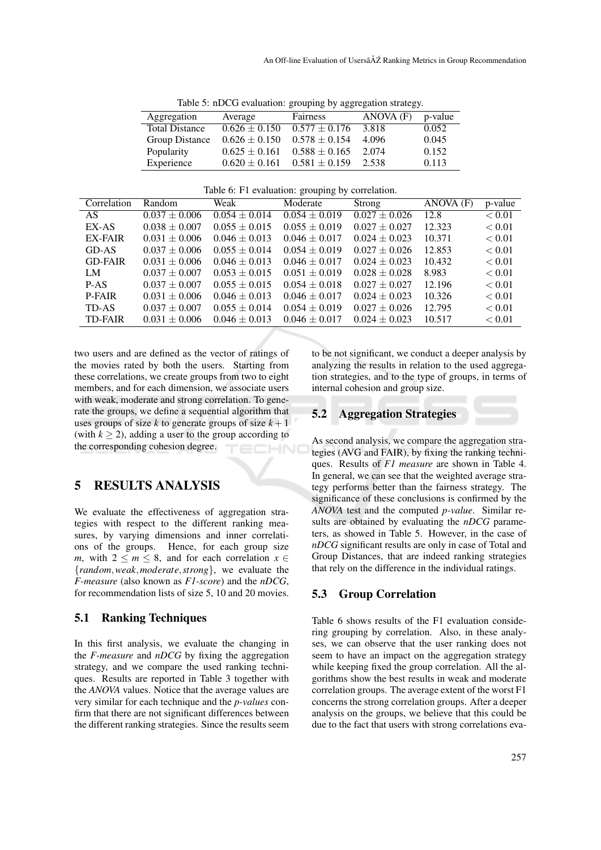| rable 5. HDCO evaluation. grouping by aggregation strategy. |                   |                   |           |         |  |  |  |
|-------------------------------------------------------------|-------------------|-------------------|-----------|---------|--|--|--|
| Aggregation                                                 | Average           | Fairness          | ANOVA (F) | p-value |  |  |  |
| <b>Total Distance</b>                                       | $0.626 \pm 0.150$ | $0.577 \pm 0.176$ | 3.818     | 0.052   |  |  |  |
| Group Distance                                              | $0.626 \pm 0.150$ | $0.578 \pm 0.154$ | 4.096     | 0.045   |  |  |  |
| Popularity                                                  | $0.625 \pm 0.161$ | $0.588 \pm 0.165$ | 2.074     | 0.152   |  |  |  |
| Experience                                                  | $0.620 \pm 0.161$ | $0.581 \pm 0.159$ | 2.538     | 0.113   |  |  |  |

Table 5: nDCG evaluation: grouping by aggregation strategy.

| Correlation    | Random            | Weak              | Moderate          | Strong            | ANOVA (F) | p-value       |
|----------------|-------------------|-------------------|-------------------|-------------------|-----------|---------------|
| AS.            | $0.037 \pm 0.006$ | $0.054 \pm 0.014$ | $0.054 \pm 0.019$ | $0.027 \pm 0.026$ | 12.8      | < 0.01        |
| EX-AS          | $0.038 \pm 0.007$ | $0.055 \pm 0.015$ | $0.055 \pm 0.019$ | $0.027 \pm 0.027$ | 12.323    | < 0.01        |
| <b>EX-FAIR</b> | $0.031 + 0.006$   | $0.046 \pm 0.013$ | $0.046 \pm 0.017$ | $0.024 \pm 0.023$ | 10.371    | < 0.01        |
| GD-AS          | $0.037 \pm 0.006$ | $0.055 \pm 0.014$ | $0.054 \pm 0.019$ | $0.027 \pm 0.026$ | 12.853    | ${}_{< 0.01}$ |
| <b>GD-FAIR</b> | $0.031 \pm 0.006$ | $0.046 \pm 0.013$ | $0.046 \pm 0.017$ | $0.024 \pm 0.023$ | 10.432    | ${}_{< 0.01}$ |
| LM             | $0.037 \pm 0.007$ | $0.053 \pm 0.015$ | $0.051 \pm 0.019$ | $0.028 \pm 0.028$ | 8.983     | ${}_{< 0.01}$ |
| P-AS           | $0.037 \pm 0.007$ | $0.055 \pm 0.015$ | $0.054 \pm 0.018$ | $0.027 \pm 0.027$ | 12.196    | ${}_{< 0.01}$ |
| <b>P-FAIR</b>  | $0.031 \pm 0.006$ | $0.046 \pm 0.013$ | $0.046 \pm 0.017$ | $0.024 \pm 0.023$ | 10.326    | ${}_{< 0.01}$ |
| TD-AS          | $0.037 \pm 0.007$ | $0.055 \pm 0.014$ | $0.054 \pm 0.019$ | $0.027 \pm 0.026$ | 12.795    | ${}_{< 0.01}$ |
| <b>TD-FAIR</b> | $0.031 + 0.006$   | $0.046 \pm 0.013$ | $0.046 \pm 0.017$ | $0.024 \pm 0.023$ | 10.517    | ${}_{< 0.01}$ |

two users and are defined as the vector of ratings of the movies rated by both the users. Starting from these correlations, we create groups from two to eight members, and for each dimension, we associate users with weak, moderate and strong correlation. To generate the groups, we define a sequential algorithm that uses groups of size *k* to generate groups of size  $k+1$ (with  $k \geq 2$ ), adding a user to the group according to the corresponding cohesion degree.

## 5 RESULTS ANALYSIS

We evaluate the effectiveness of aggregation strategies with respect to the different ranking measures, by varying dimensions and inner correlations of the groups. Hence, for each group size *m*, with  $2 \le m \le 8$ , and for each correlation  $x \in$ {*random*,*weak*,*moderate*,*strong*}, we evaluate the *F-measure* (also known as *F1-score*) and the *nDCG*, for recommendation lists of size 5, 10 and 20 movies.

### 5.1 Ranking Techniques

In this first analysis, we evaluate the changing in the *F-measure* and *nDCG* by fixing the aggregation strategy, and we compare the used ranking techniques. Results are reported in Table 3 together with the *ANOVA* values. Notice that the average values are very similar for each technique and the *p-values* confirm that there are not significant differences between the different ranking strategies. Since the results seem to be not significant, we conduct a deeper analysis by analyzing the results in relation to the used aggregation strategies, and to the type of groups, in terms of internal cohesion and group size.

## 5.2 Aggregation Strategies

As second analysis, we compare the aggregation strategies (AVG and FAIR), by fixing the ranking techniques. Results of *F1 measure* are shown in Table 4. In general, we can see that the weighted average strategy performs better than the fairness strategy. The significance of these conclusions is confirmed by the *ANOVA* test and the computed *p-value*. Similar results are obtained by evaluating the *nDCG* parameters, as showed in Table 5. However, in the case of *nDCG* significant results are only in case of Total and Group Distances, that are indeed ranking strategies that rely on the difference in the individual ratings.

### 5.3 Group Correlation

Table 6 shows results of the F1 evaluation considering grouping by correlation. Also, in these analyses, we can observe that the user ranking does not seem to have an impact on the aggregation strategy while keeping fixed the group correlation. All the algorithms show the best results in weak and moderate correlation groups. The average extent of the worst F1 concerns the strong correlation groups. After a deeper analysis on the groups, we believe that this could be due to the fact that users with strong correlations eva-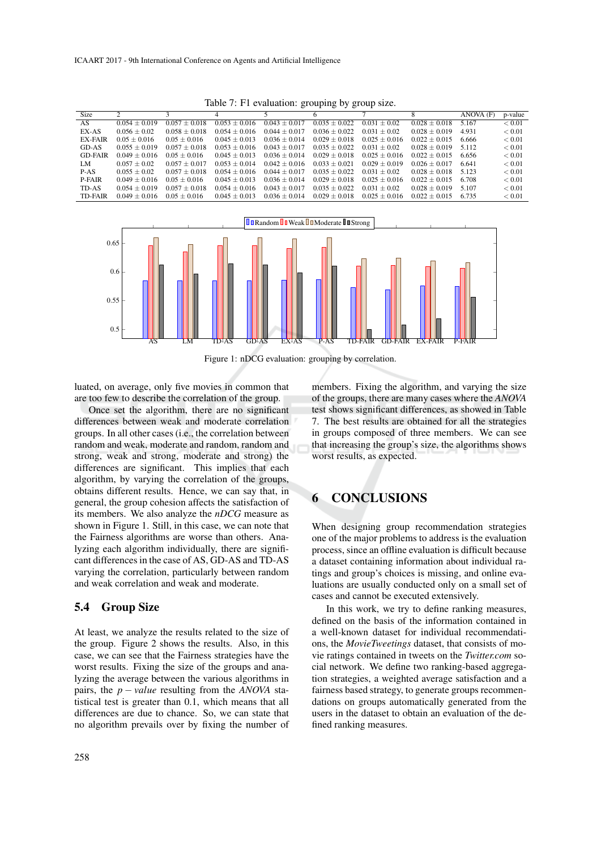|                |                 |                 |                   |                 | $\circ$<br>$\circ$ | .                 |                   |           |               |
|----------------|-----------------|-----------------|-------------------|-----------------|--------------------|-------------------|-------------------|-----------|---------------|
| <b>Size</b>    |                 |                 |                   |                 |                    |                   |                   | ANOVA (F) | p-value       |
| AS             | $0.054 + 0.019$ | $0.057 + 0.018$ | $0.053 + 0.016$   | $0.043 + 0.017$ | $0.035 + 0.022$    | 0.031<br>$+0.02$  | $0.028 \pm 0.018$ | 5.167     | < 0.01        |
| EX-AS          | $0.056 + 0.02$  | $0.058 + 0.018$ | $0.054 + 0.016$   | $0.044 + 0.017$ | $0.036 + 0.022$    | $0.031 + 0.02$    | $0.028 + 0.019$   | 4.931     | < 0.01        |
| <b>EX-FAIR</b> | $0.05 + 0.016$  | $0.05 + 0.016$  | $0.045 + 0.013$   | $0.036 + 0.014$ | $0.029 + 0.018$    | $0.025 \pm 0.016$ | $0.022 + 0.015$   | 6.666     | ${}< 0.01$    |
| GD-AS          | $0.055 + 0.019$ | $0.057 + 0.018$ | $0.053 \pm 0.016$ | $0.043 + 0.017$ | $0.035 \pm 0.022$  | $0.031 + 0.02$    | $0.028 + 0.019$   | 5.112     | ${}< 0.01$    |
| <b>GD-FAIR</b> | $0.049 + 0.016$ | $0.05 + 0.016$  | $0.045 + 0.013$   | $0.036 + 0.014$ | $0.029 + 0.018$    | $0.025 + 0.016$   | $0.022 + 0.015$   | 6.656     | ${}< 0.01$    |
| LM.            | $0.057 + 0.02$  | $0.057 + 0.017$ | $0.053 + 0.014$   | $0.042 + 0.016$ | $0.033 + 0.021$    | $0.029 + 0.019$   | $0.026 + 0.017$   | 6.641     | ${}< 0.01$    |
| $P-AS$         | $0.055 + 0.02$  | $0.057 + 0.018$ | $0.054 + 0.016$   | $0.044 + 0.017$ | $0.035 + 0.022$    | $0.031 + 0.02$    | $0.028 + 0.018$   | 5.123     | ${}< 0.01$    |
| P-FAIR         | $0.049 + 0.016$ | $0.05 + 0.016$  | $0.045 + 0.013$   | $0.036 + 0.014$ | $0.029 + 0.018$    | $0.025 \pm 0.016$ | $0.022 + 0.015$   | 6.708     | < 0.01        |
| TD-AS          | $0.054 + 0.019$ | $0.057 + 0.018$ | $0.054 + 0.016$   | $0.043 + 0.017$ | $0.035 + 0.022$    | $0.031 + 0.02$    | $0.028 + 0.019$   | 5.107     | ${}_{< 0.01}$ |
| <b>TD-FAIR</b> | $0.049 + 0.016$ | $0.05 + 0.016$  | $0.045 + 0.013$   | $0.036 + 0.014$ | $0.029 + 0.018$    | $0.025 + 0.016$   | $0.022 + 0.015$   | 6.735     | ${}_{< 0.01}$ |

Table 7: F1 evaluation: grouping by group size.



Figure 1: nDCG evaluation: grouping by correlation.

luated, on average, only five movies in common that are too few to describe the correlation of the group.

Once set the algorithm, there are no significant differences between weak and moderate correlation groups. In all other cases (i.e., the correlation between random and weak, moderate and random, random and strong, weak and strong, moderate and strong) the differences are significant. This implies that each algorithm, by varying the correlation of the groups, obtains different results. Hence, we can say that, in general, the group cohesion affects the satisfaction of its members. We also analyze the *nDCG* measure as shown in Figure 1. Still, in this case, we can note that the Fairness algorithms are worse than others. Analyzing each algorithm individually, there are significant differences in the case of AS, GD-AS and TD-AS varying the correlation, particularly between random and weak correlation and weak and moderate.

#### 5.4 Group Size

At least, we analyze the results related to the size of the group. Figure 2 shows the results. Also, in this case, we can see that the Fairness strategies have the worst results. Fixing the size of the groups and analyzing the average between the various algorithms in pairs, the  $p - value$  resulting from the *ANOVA* statistical test is greater than 0.1, which means that all differences are due to chance. So, we can state that no algorithm prevails over by fixing the number of

258

members. Fixing the algorithm, and varying the size of the groups, there are many cases where the *ANOVA* test shows significant differences, as showed in Table 7. The best results are obtained for all the strategies in groups composed of three members. We can see that increasing the group's size, the algorithms shows worst results, as expected.

## **CONCLUSIONS**

When designing group recommendation strategies one of the major problems to address is the evaluation process, since an offline evaluation is difficult because a dataset containing information about individual ratings and group's choices is missing, and online evaluations are usually conducted only on a small set of cases and cannot be executed extensively.

In this work, we try to define ranking measures, defined on the basis of the information contained in a well-known dataset for individual recommendations, the *MovieTweetings* dataset, that consists of movie ratings contained in tweets on the *Twitter.com* social network. We define two ranking-based aggregation strategies, a weighted average satisfaction and a fairness based strategy, to generate groups recommendations on groups automatically generated from the users in the dataset to obtain an evaluation of the defined ranking measures.